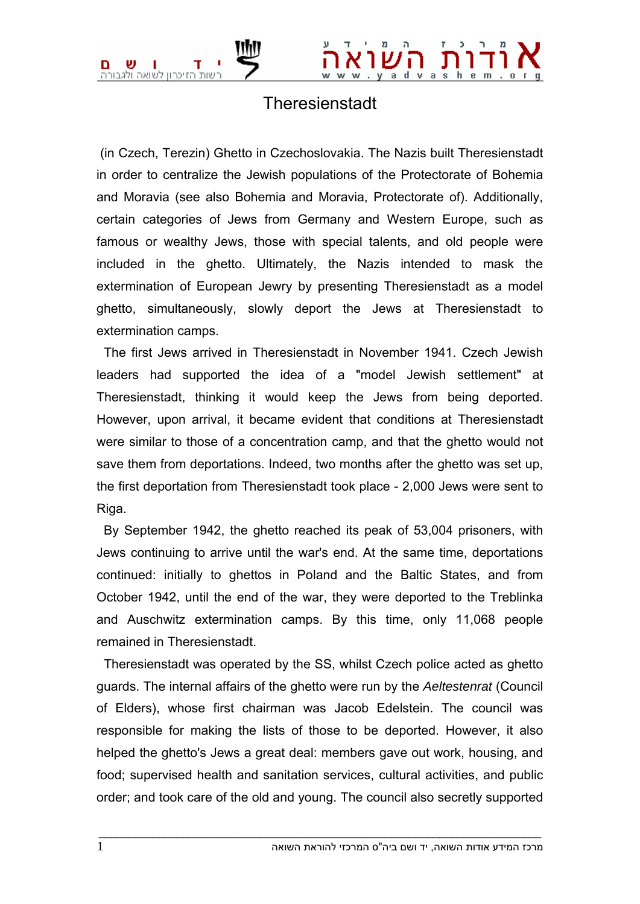

## **Theresienstadt**

 (in Czech, Terezin) Ghetto in Czechoslovakia. The Nazis built Theresienstadt in order to centralize the Jewish populations of the Protectorate of Bohemia and Moravia (see also Bohemia and Moravia, Protectorate of). Additionally, certain categories of Jews from Germany and Western Europe, such as famous or wealthy Jews, those with special talents, and old people were included in the ghetto. Ultimately, the Nazis intended to mask the extermination of European Jewry by presenting Theresienstadt as a model ghetto, simultaneously, slowly deport the Jews at Theresienstadt to extermination camps.

 The first Jews arrived in Theresienstadt in November 1941. Czech Jewish leaders had supported the idea of a "model Jewish settlement" at Theresienstadt, thinking it would keep the Jews from being deported. However, upon arrival, it became evident that conditions at Theresienstadt were similar to those of a concentration camp, and that the ghetto would not save them from deportations. Indeed, two months after the ghetto was set up, the first deportation from Theresienstadt took place - 2,000 Jews were sent to Riga.

 By September 1942, the ghetto reached its peak of 53,004 prisoners, with Jews continuing to arrive until the war's end. At the same time, deportations continued: initially to ghettos in Poland and the Baltic States, and from October 1942, until the end of the war, they were deported to the Treblinka and Auschwitz extermination camps. By this time, only 11,068 people remained in Theresienstadt.

 Theresienstadt was operated by the SS, whilst Czech police acted as ghetto guards. The internal affairs of the ghetto were run by the *Aeltestenrat* (Council of Elders), whose first chairman was Jacob Edelstein. The council was responsible for making the lists of those to be deported. However, it also helped the ghetto's Jews a great deal: members gave out work, housing, and food; supervised health and sanitation services, cultural activities, and public order; and took care of the old and young. The council also secretly supported

 $\bot$  , and the set of the set of the set of the set of the set of the set of the set of the set of the set of the set of the set of the set of the set of the set of the set of the set of the set of the set of the set of t